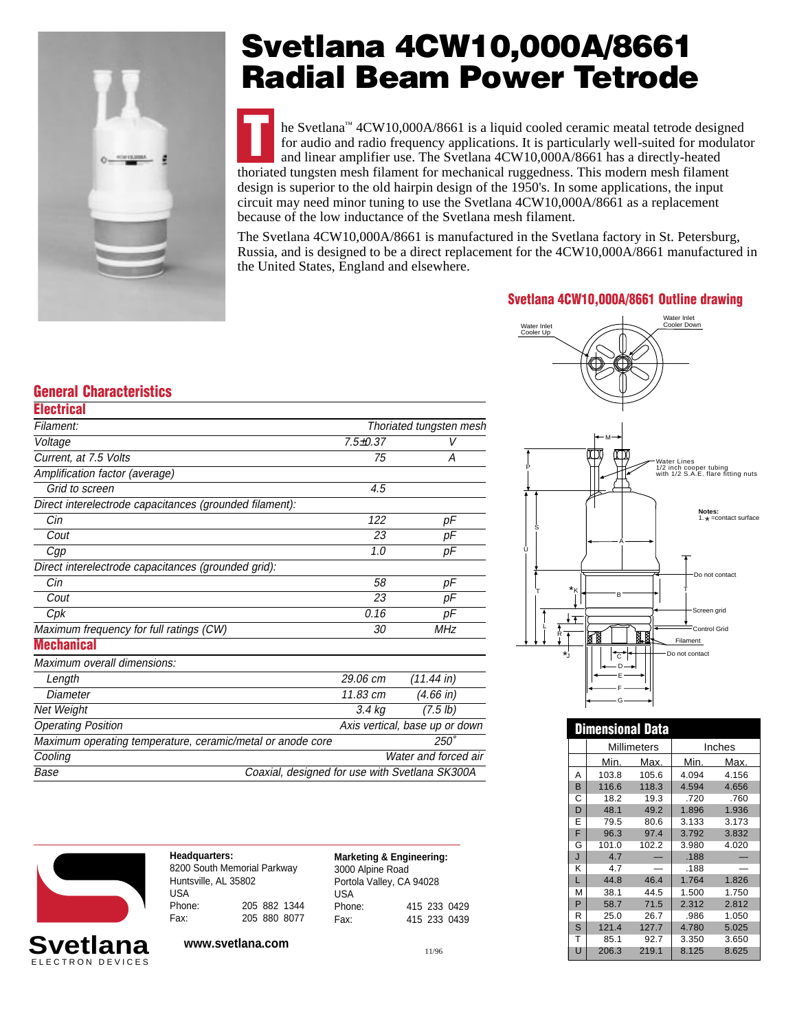

## **Svetlana 4CW10,000A/8661 Radial Beam Power Tetrode**

TTLE Svetlana™ 4CW10,000A/8661 is a liquid cooled ceramic meatal tetrode designed<br>for audio and radio frequency applications. It is particularly well-suited for modulat<br>and linear amplifier use. The Svetlana 4CW10,000A/86 for audio and radio frequency applications. It is particularly well-suited for modulator and linear amplifier use. The Svetlana 4CW10,000A/8661 has a directly-heated thoriated tungsten mesh filament for mechanical ruggedness. This modern mesh filament design is superior to the old hairpin design of the 1950's. In some applications, the input circuit may need minor tuning to use the Svetlana 4CW10,000A/8661 as a replacement because of the low inductance of the Svetlana mesh filament.

The Svetlana 4CW10,000A/8661 is manufactured in the Svetlana factory in St. Petersburg, Russia, and is designed to be a direct replacement for the 4CW10,000A/8661 manufactured in the United States, England and elsewhere.

## **Svetlana 4CW10,000A/8661 Outline drawing**

Water Inlet

1/2 inch cooper tubing with 1/2 S.A.E. flare fitting nuts

**Notes:**<br>1. \* =contact surface

|                                                            |                |                                | water iniet<br>Cooler Down<br>Water Inlet |
|------------------------------------------------------------|----------------|--------------------------------|-------------------------------------------|
|                                                            |                |                                | Cooler Up                                 |
|                                                            |                |                                |                                           |
| <b>General Characteristics</b>                             |                |                                |                                           |
| <b>Electrical</b>                                          |                |                                |                                           |
| Filament:                                                  |                | Thoriated tungsten mesh        |                                           |
| Voltage                                                    | $7.5 \pm 0.37$ |                                | $-M$                                      |
| Current, at 7.5 Volts                                      | 75             | A                              | Water Lines                               |
| Amplification factor (average)                             |                |                                | 1/2 inch coop                             |
| Grid to screen                                             | 4.5            |                                |                                           |
| Direct interelectrode capacitances (grounded filament):    |                |                                |                                           |
| Cin                                                        | 122            | pF                             |                                           |
| Cout                                                       | 23             | pF                             |                                           |
| Cgp                                                        | 1.0            | pF                             |                                           |
| Direct interelectrode capacitances (grounded grid):        |                |                                | ·Do                                       |
| Cin                                                        | 58             | рF                             | $*_{\kappa}$                              |
| Cout                                                       | 23             | рF                             |                                           |
| Cpk                                                        | 0.16           | рF                             | Sc<br>∔∓                                  |
| Maximum frequency for full ratings (CW)                    | 30             | MHz                            | Cc<br>a<br>Kasa                           |
| <b>Mechanical</b>                                          |                |                                | Filament<br>*,<br>Do not cont             |
| Maximum overall dimensions:                                |                |                                | °ट`                                       |
| Length                                                     | 29.06 cm       | $(11.44 \text{ in})$           |                                           |
| Diameter                                                   | 11.83 cm       | $(4.66)$ in)                   |                                           |
| Net Weight                                                 | $3.4$ kg       | $(7.5 \, lb)$                  |                                           |
| <b>Operating Position</b>                                  |                | Axis vertical, base up or down | <b>Dimensional Data</b>                   |
| Maximum operating temperature, ceramic/metal or anode core |                | $250^\circ$                    | Millimeters                               |
| Cooling                                                    |                | Water and forced air           | <b>Min</b><br>Mov<br><b>Min</b>           |

Base Coaxial, designed for use with Svetlana SK300A



| Headquarters:<br>8200 South Memorial Parkway |  |              |
|----------------------------------------------|--|--------------|
| Huntsville, AL 35802                         |  |              |
| USA                                          |  |              |
| Phone:                                       |  | 205 882 1344 |
| Fax:                                         |  | 205 880 8077 |

**Marketing & Engineering:** 3000 Alpine Road Portola Valley, CA 94028 USA Phone: 415 233 0429 Fax: 415 233 0439

**www.svetlana.com** 11/96

|              | $*_{K}$ | B.     |                         |                | Do not contact |
|--------------|---------|--------|-------------------------|----------------|----------------|
|              | ł±      |        |                         |                | Screen grid    |
| $_{\rm R}^*$ |         |        |                         |                | Control Grid   |
|              |         | Ñ<br>₫ | K<br>Ń                  | Filament       |                |
| *j           |         | ਟ<br>G |                         | Do not contact |                |
|              |         |        |                         |                |                |
|              |         |        | <b>Dimensional Data</b> |                |                |
|              |         |        | <b>Millimeters</b>      |                | Inches         |
|              |         | Min.   | Max.                    | Min.           | Max.           |
|              | Α       | 103.8  | 105.6                   | 4.094          | 4.156          |
|              | B       | 116.6  | 118.3                   | 4.594          | 4.656          |
|              | C       | 18.2   | 19.3                    | .720           | .760           |
|              | D       | 48.1   | 49.2                    | 1.896          | 1.936          |
|              | E       | 79.5   | 80.6                    | 3.133          | 3.173          |
|              | F       | 96.3   | 97.4                    | 3.792          | 3.832          |
|              | G       | 101.0  | 102.2                   | 3.980          | 4.020          |
|              | J       | 4.7    |                         | .188           |                |
|              | κ       | 4.7    |                         | .188           |                |
|              | L       | 44.8   | 46.4                    | 1.764          | 1.826          |

P 58.7 71.5 2.312 2.812 R 25.0 26.7 .986 1.050 S 121.4 127.7 4.780 5.025 T 85.1 92.7 3.350 3.650 U 206.3 219.1 8.125 8.625